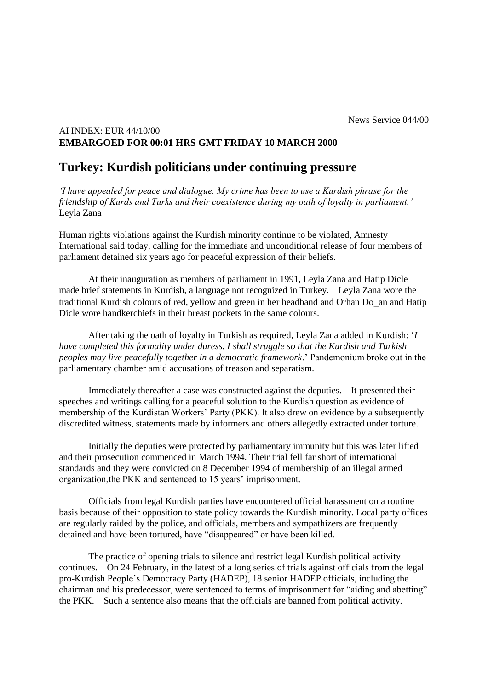## AI INDEX: EUR 44/10/00 **EMBARGOED FOR 00:01 HRS GMT FRIDAY 10 MARCH 2000**

## **Turkey: Kurdish politicians under continuing pressure**

*'I have appealed for peace and dialogue. My crime has been to use a Kurdish phrase for the friendship of Kurds and Turks and their coexistence during my oath of loyalty in parliament.'* Leyla Zana

Human rights violations against the Kurdish minority continue to be violated, Amnesty International said today, calling for the immediate and unconditional release of four members of parliament detained six years ago for peaceful expression of their beliefs.

At their inauguration as members of parliament in 1991, Leyla Zana and Hatip Dicle made brief statements in Kurdish, a language not recognized in Turkey. Leyla Zana wore the traditional Kurdish colours of red, yellow and green in her headband and Orhan Do an and Hatip Dicle wore handkerchiefs in their breast pockets in the same colours.

After taking the oath of loyalty in Turkish as required, Leyla Zana added in Kurdish: '*I have completed this formality under duress. I shall struggle so that the Kurdish and Turkish peoples may live peacefully together in a democratic framework*.' Pandemonium broke out in the parliamentary chamber amid accusations of treason and separatism.

Immediately thereafter a case was constructed against the deputies. It presented their speeches and writings calling for a peaceful solution to the Kurdish question as evidence of membership of the Kurdistan Workers' Party (PKK). It also drew on evidence by a subsequently discredited witness, statements made by informers and others allegedly extracted under torture.

Initially the deputies were protected by parliamentary immunity but this was later lifted and their prosecution commenced in March 1994. Their trial fell far short of international standards and they were convicted on 8 December 1994 of membership of an illegal armed organization,the PKK and sentenced to 15 years' imprisonment.

Officials from legal Kurdish parties have encountered official harassment on a routine basis because of their opposition to state policy towards the Kurdish minority. Local party offices are regularly raided by the police, and officials, members and sympathizers are frequently detained and have been tortured, have "disappeared" or have been killed.

The practice of opening trials to silence and restrict legal Kurdish political activity continues. On 24 February, in the latest of a long series of trials against officials from the legal pro-Kurdish People's Democracy Party (HADEP), 18 senior HADEP officials, including the chairman and his predecessor, were sentenced to terms of imprisonment for "aiding and abetting" the PKK. Such a sentence also means that the officials are banned from political activity.